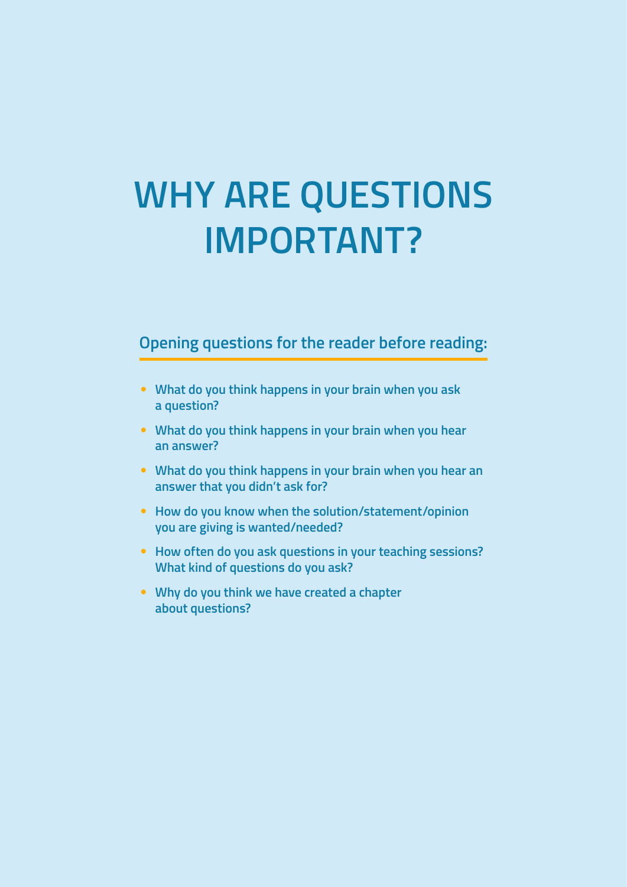# **WHY ARE QUESTIONS IMPORTANT?**

## **Opening questions for the reader before reading:**

- **What do you think happens in your brain when you ask a question?**
- **What do you think happens in your brain when you hear an answer?**
- **What do you think happens in your brain when you hear an answer that you didn't ask for?**
- **How do you know when the solution/statement/opinion you are giving is wanted/needed?**
- **How often do you ask questions in your teaching sessions? What kind of questions do you ask?**
- **Why do you think we have created a chapter about questions?**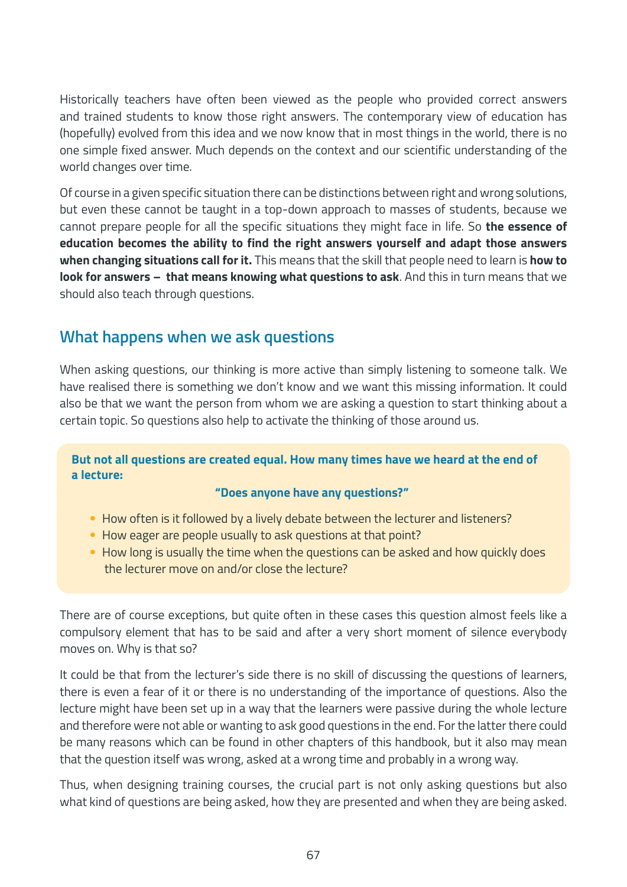Historically teachers have often been viewed as the people who provided correct answers and trained students to know those right answers. The contemporary view of education has (hopefully) evolved from this idea and we now know that in most things in the world, there is no one simple fixed answer. Much depends on the context and our scientific understanding of the world changes over time.

Of course in a given specific situation there can be distinctions between right and wrong solutions, but even these cannot be taught in a top-down approach to masses of students, because we cannot prepare people for all the specific situations they might face in life. So **the essence of education becomes the ability to find the right answers yourself and adapt those answers when changing situations call for it.** This means that the skill that people need to learn is **how to look for answers – that means knowing what questions to ask**. And this in turn means that we should also teach through questions.

## **What happens when we ask questions**

When asking questions, our thinking is more active than simply listening to someone talk. We have realised there is something we don't know and we want this missing information. It could also be that we want the person from whom we are asking a question to start thinking about a certain topic. So questions also help to activate the thinking of those around us.

#### **But not all questions are created equal. How many times have we heard at the end of a lecture:**

#### **"Does anyone have any questions?"**

- How often is it followed by a lively debate between the lecturer and listeners?
- How eager are people usually to ask questions at that point?
- How long is usually the time when the questions can be asked and how quickly does the lecturer move on and/or close the lecture?

There are of course exceptions, but quite often in these cases this question almost feels like a compulsory element that has to be said and after a very short moment of silence everybody moves on. Why is that so?

It could be that from the lecturer's side there is no skill of discussing the questions of learners, there is even a fear of it or there is no understanding of the importance of questions. Also the lecture might have been set up in a way that the learners were passive during the whole lecture and therefore were not able or wanting to ask good questions in the end. For the latter there could be many reasons which can be found in other chapters of this handbook, but it also may mean that the question itself was wrong, asked at a wrong time and probably in a wrong way.

Thus, when designing training courses, the crucial part is not only asking questions but also what kind of questions are being asked, how they are presented and when they are being asked.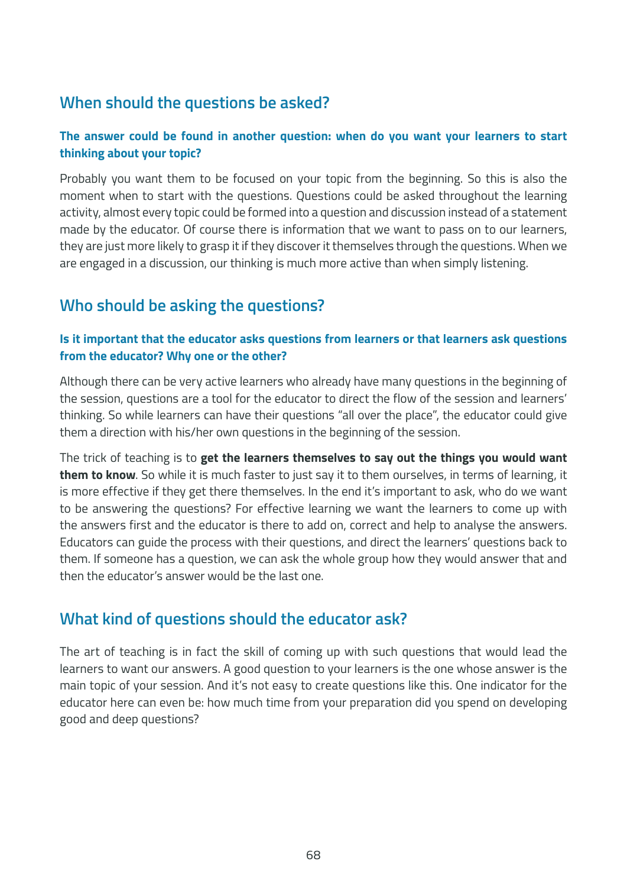## **When should the questions be asked?**

#### **The answer could be found in another question: when do you want your learners to start thinking about your topic?**

Probably you want them to be focused on your topic from the beginning. So this is also the moment when to start with the questions. Questions could be asked throughout the learning activity, almost every topic could be formed into a question and discussion instead of a statement made by the educator. Of course there is information that we want to pass on to our learners, they are just more likely to grasp it if they discover it themselves through the questions. When we are engaged in a discussion, our thinking is much more active than when simply listening.

## **Who should be asking the questions?**

#### **Is it important that the educator asks questions from learners or that learners ask questions from the educator? Why one or the other?**

Although there can be very active learners who already have many questions in the beginning of the session, questions are a tool for the educator to direct the flow of the session and learners' thinking. So while learners can have their questions "all over the place", the educator could give them a direction with his/her own questions in the beginning of the session.

The trick of teaching is to **get the learners themselves to say out the things you would want them to know**. So while it is much faster to just say it to them ourselves, in terms of learning, it is more effective if they get there themselves. In the end it's important to ask, who do we want to be answering the questions? For effective learning we want the learners to come up with the answers first and the educator is there to add on, correct and help to analyse the answers. Educators can guide the process with their questions, and direct the learners' questions back to them. If someone has a question, we can ask the whole group how they would answer that and then the educator's answer would be the last one.

## **What kind of questions should the educator ask?**

The art of teaching is in fact the skill of coming up with such questions that would lead the learners to want our answers. A good question to your learners is the one whose answer is the main topic of your session. And it's not easy to create questions like this. One indicator for the educator here can even be: how much time from your preparation did you spend on developing good and deep questions?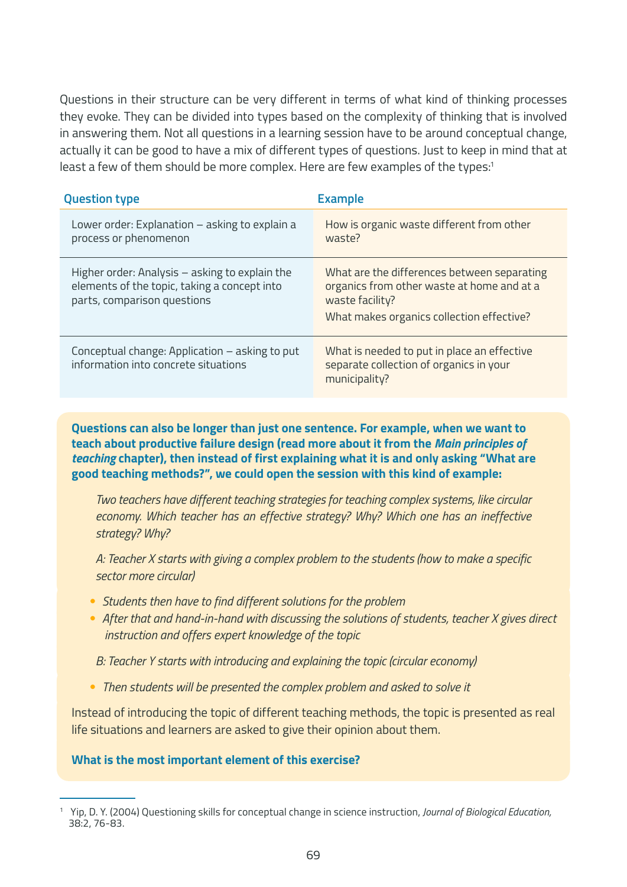Questions in their structure can be very different in terms of what kind of thinking processes they evoke. They can be divided into types based on the complexity of thinking that is involved in answering them. Not all questions in a learning session have to be around conceptual change, actually it can be good to have a mix of different types of questions. Just to keep in mind that at least a few of them should be more complex. Here are few examples of the types:<sup>1</sup>

| <b>Question type</b>                                                                                                          | <b>Example</b>                                                                                                                                            |
|-------------------------------------------------------------------------------------------------------------------------------|-----------------------------------------------------------------------------------------------------------------------------------------------------------|
| Lower order: Explanation - asking to explain a<br>process or phenomenon                                                       | How is organic waste different from other<br>waste?                                                                                                       |
| Higher order: Analysis - asking to explain the<br>elements of the topic, taking a concept into<br>parts, comparison questions | What are the differences between separating<br>organics from other waste at home and at a<br>waste facility?<br>What makes organics collection effective? |
| Conceptual change: Application - asking to put<br>information into concrete situations                                        | What is needed to put in place an effective<br>separate collection of organics in your<br>municipality?                                                   |

**Questions can also be longer than just one sentence. For example, when we want to teach about productive failure design (read more about it from the** *Main principles of teaching* **chapter), then instead of first explaining what it is and only asking "What are good teaching methods?", we could open the session with this kind of example:**

*Two teachers have different teaching strategies for teaching complex systems, like circular economy. Which teacher has an effective strategy? Why? Which one has an ineffective strategy? Why?*

*A: Teacher X starts with giving a complex problem to the students (how to make a specific sector more circular)*

- *Students then have to find different solutions for the problem*
- *After that and hand-in-hand with discussing the solutions of students, teacher X gives direct instruction and offers expert knowledge of the topic*

*B: Teacher Y starts with introducing and explaining the topic (circular economy)*

• *Then students will be presented the complex problem and asked to solve it*

Instead of introducing the topic of different teaching methods, the topic is presented as real life situations and learners are asked to give their opinion about them.

#### **What is the most important element of this exercise?**

<sup>1</sup> Yip, D. Y. (2004) Questioning skills for conceptual change in science instruction, *Journal of Biological Education,*  38:2, 76-83.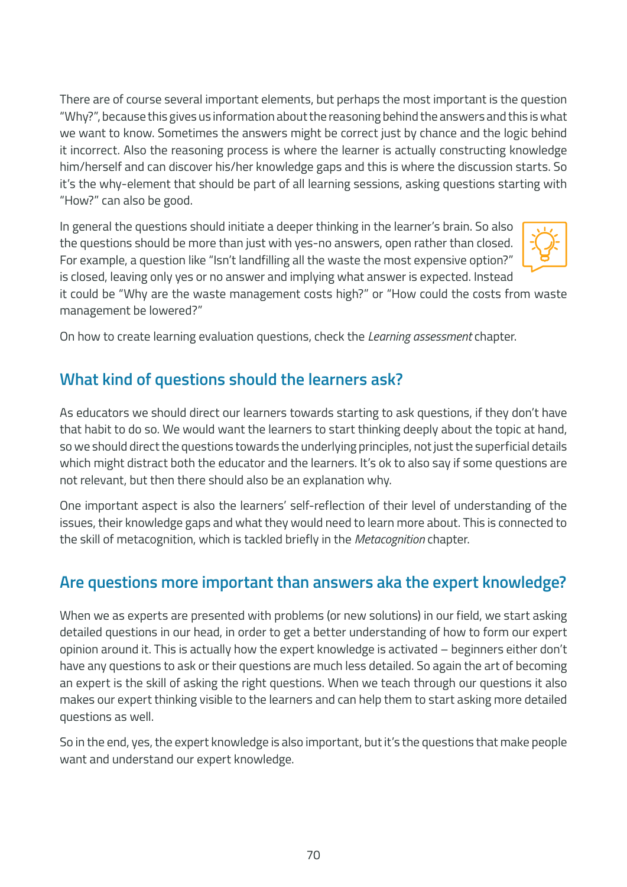There are of course several important elements, but perhaps the most important is the question "Why?", because this gives us information about the reasoning behind the answers and this is what we want to know. Sometimes the answers might be correct just by chance and the logic behind it incorrect. Also the reasoning process is where the learner is actually constructing knowledge him/herself and can discover his/her knowledge gaps and this is where the discussion starts. So it's the why-element that should be part of all learning sessions, asking questions starting with "How?" can also be good.

In general the questions should initiate a deeper thinking in the learner's brain. So also the questions should be more than just with yes-no answers, open rather than closed. For example, a question like "Isn't landfilling all the waste the most expensive option?" is closed, leaving only yes or no answer and implying what answer is expected. Instead



it could be "Why are the waste management costs high?" or "How could the costs from waste management be lowered?"

On how to create learning evaluation questions, check the *Learning assessment* chapter.

## **What kind of questions should the learners ask?**

As educators we should direct our learners towards starting to ask questions, if they don't have that habit to do so. We would want the learners to start thinking deeply about the topic at hand, so we should direct the questions towards the underlying principles, not just the superficial details which might distract both the educator and the learners. It's ok to also say if some questions are not relevant, but then there should also be an explanation why.

One important aspect is also the learners' self-reflection of their level of understanding of the issues, their knowledge gaps and what they would need to learn more about. This is connected to the skill of metacognition, which is tackled briefly in the *Metacognition* chapter.

## **Are questions more important than answers aka the expert knowledge?**

When we as experts are presented with problems (or new solutions) in our field, we start asking detailed questions in our head, in order to get a better understanding of how to form our expert opinion around it. This is actually how the expert knowledge is activated – beginners either don't have any questions to ask or their questions are much less detailed. So again the art of becoming an expert is the skill of asking the right questions. When we teach through our questions it also makes our expert thinking visible to the learners and can help them to start asking more detailed questions as well.

So in the end, yes, the expert knowledge is also important, but it's the questions that make people want and understand our expert knowledge.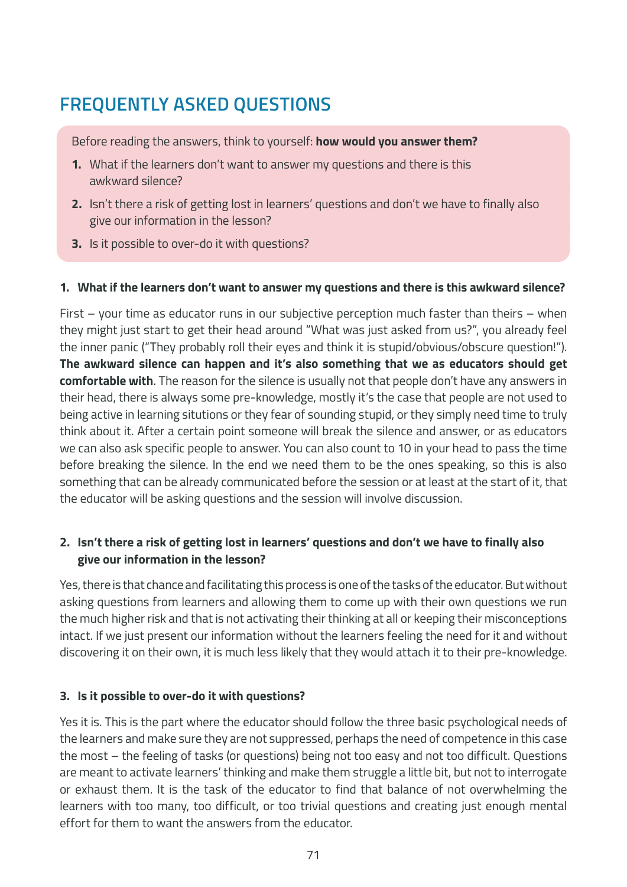## **FREQUENTLY ASKED QUESTIONS**

Before reading the answers, think to yourself: **how would you answer them?**

- **1.** What if the learners don't want to answer my questions and there is this awkward silence?
- **2.** Isn't there a risk of getting lost in learners' questions and don't we have to finally also give our information in the lesson?
- **3.** Is it possible to over-do it with questions?

#### **1. What if the learners don't want to answer my questions and there is this awkward silence?**

First – your time as educator runs in our subjective perception much faster than theirs – when they might just start to get their head around "What was just asked from us?", you already feel the inner panic ("They probably roll their eyes and think it is stupid/obvious/obscure question!"). **The awkward silence can happen and it's also something that we as educators should get comfortable with**. The reason for the silence is usually not that people don't have any answers in their head, there is always some pre-knowledge, mostly it's the case that people are not used to being active in learning situtions or they fear of sounding stupid, or they simply need time to truly think about it. After a certain point someone will break the silence and answer, or as educators we can also ask specific people to answer. You can also count to 10 in your head to pass the time before breaking the silence. In the end we need them to be the ones speaking, so this is also something that can be already communicated before the session or at least at the start of it, that the educator will be asking questions and the session will involve discussion.

#### **2. Isn't there a risk of getting lost in learners' questions and don't we have to finally also give our information in the lesson?**

Yes, there is that chance and facilitating this process is one of the tasks of the educator. But without asking questions from learners and allowing them to come up with their own questions we run the much higher risk and that is not activating their thinking at all or keeping their misconceptions intact. If we just present our information without the learners feeling the need for it and without discovering it on their own, it is much less likely that they would attach it to their pre-knowledge.

#### **3. Is it possible to over-do it with questions?**

Yes it is. This is the part where the educator should follow the three basic psychological needs of the learners and make sure they are not suppressed, perhaps the need of competence in this case the most – the feeling of tasks (or questions) being not too easy and not too difficult. Questions are meant to activate learners' thinking and make them struggle a little bit, but not to interrogate or exhaust them. It is the task of the educator to find that balance of not overwhelming the learners with too many, too difficult, or too trivial questions and creating just enough mental effort for them to want the answers from the educator.